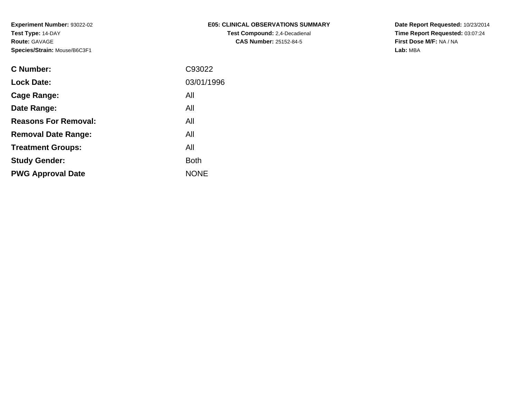| E05: CLINICAL OBSERVATIONS SUMMARY   |
|--------------------------------------|
| <b>Test Compound:</b> 2,4-Decadienal |
| <b>CAS Number: 25152-84-5</b>        |

**Date Report Requested:** 10/23/2014 **Time Report Requested:** 03:07:24**First Dose M/F:** NA / NA**Lab:** MBA

| <b>C</b> Number:            | C93022      |
|-----------------------------|-------------|
| <b>Lock Date:</b>           | 03/01/1996  |
| Cage Range:                 | All         |
| Date Range:                 | All         |
| <b>Reasons For Removal:</b> | All         |
| <b>Removal Date Range:</b>  | All         |
| <b>Treatment Groups:</b>    | All         |
| <b>Study Gender:</b>        | <b>Both</b> |
| <b>PWG Approval Date</b>    | <b>NONE</b> |
|                             |             |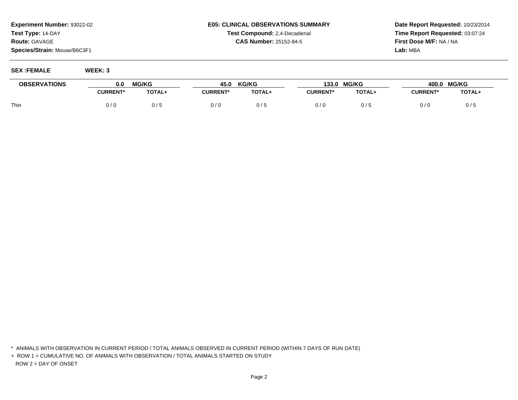## **E05: CLINICAL OBSERVATIONS SUMMARYTest Compound:** 2,4-Decadienal **CAS Number:** 25152-84-5

**Date Report Requested:** 10/23/2014**Time Report Requested:** 03:07:24**First Dose M/F:** NA / NA**Lab:** MBA

**SEX :FEMALE WEEK: 3**

| <b>OBSERVATIONS</b> | 0.0             | <b>MG/KG</b> | 45.0            | <b>KG/KG</b> | 133.0           | <b>MG/KG</b> | 400.0           | <b>MG/KG</b> |
|---------------------|-----------------|--------------|-----------------|--------------|-----------------|--------------|-----------------|--------------|
|                     | <b>CURRENT*</b> | TOTAL+       | <b>CURRENT*</b> | TOTAL+       | <b>CURRENT*</b> | TOTAL+       | <b>CURRENT*</b> | TOTAL+       |
| Thin                | 0/0             | 0/5          | 0/6             | 0/5          | 0/0             | 75           | 0/0             | 0/5          |

\* ANIMALS WITH OBSERVATION IN CURRENT PERIOD / TOTAL ANIMALS OBSERVED IN CURRENT PERIOD (WITHIN 7 DAYS OF RUN DATE)

+ ROW 1 = CUMULATIVE NO. OF ANIMALS WITH OBSERVATION / TOTAL ANIMALS STARTED ON STUDYROW 2 = DAY OF ONSET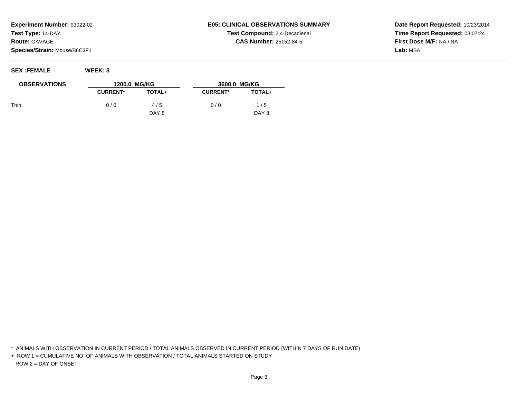## **SEX :FEMALE WEEK: 3**

| <b>E05: CLINICAL OBSERVATIONS SUMMARY</b> |
|-------------------------------------------|
| <b>Test Compound: 2,4-Decadienal</b>      |
| <b>CAS Number: 25152-84-5</b>             |

**Date Report Requested:** 10/23/2014**Time Report Requested:** 03:07:24**First Dose M/F:** NA / NA**Lab:** MBA

| <b>OBSERVATIONS</b> | 1200.0 MG/KG    |        | 3600.0 MG/KG    |        |
|---------------------|-----------------|--------|-----------------|--------|
|                     | <b>CURRENT*</b> | TOTAL+ | <b>CURRENT*</b> | TOTAL+ |
| Thin                | 0/0             | 4/5    | 0/0             | /5     |
|                     |                 | DAY 8  |                 | DAY 8  |

\* ANIMALS WITH OBSERVATION IN CURRENT PERIOD / TOTAL ANIMALS OBSERVED IN CURRENT PERIOD (WITHIN 7 DAYS OF RUN DATE)

+ ROW 1 = CUMULATIVE NO. OF ANIMALS WITH OBSERVATION / TOTAL ANIMALS STARTED ON STUDYROW 2 = DAY OF ONSET